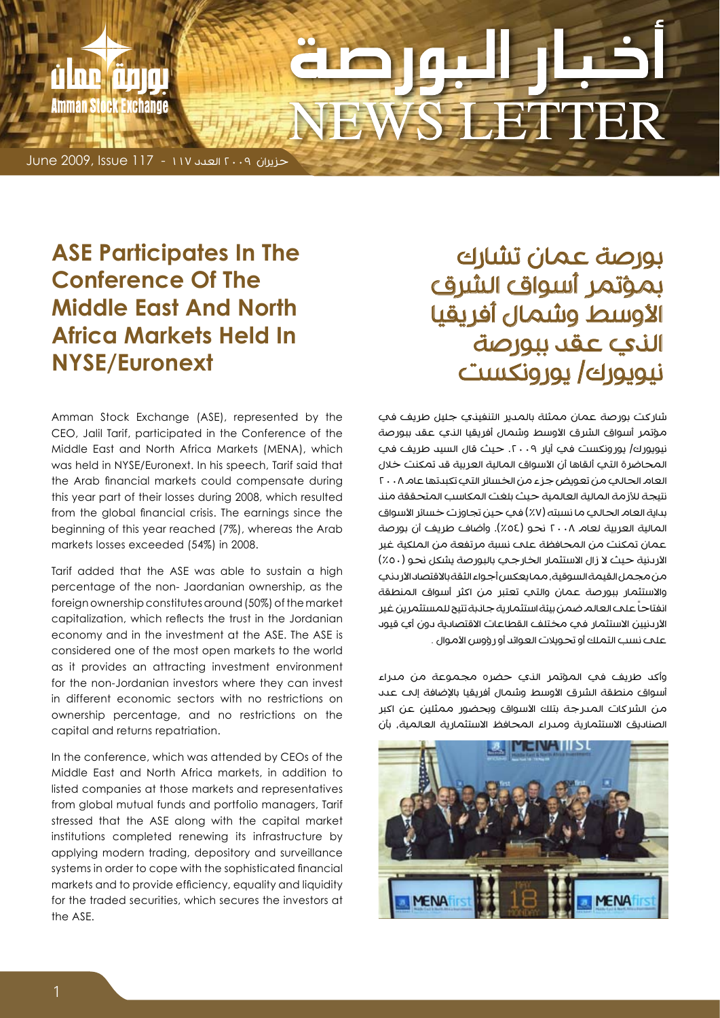

## **ASE Participates In The Conference Of The Middle East And North Africa Markets Held In NYSE/Euronext**

ú ne ann

Amman Stock Exchange

Amman Stock Exchange (ASE), represented by the CEO, Jalil Tarif, participated in the Conference of the Middle East and North Africa Markets (MENA), which was held in NYSE/Euronext. In his speech, Tarif said that the Arab financial markets could compensate during this year part of their losses during 2008, which resulted from the global financial crisis. The earnings since the beginning of this year reached (7%), whereas the Arab markets losses exceeded (54%) in 2008.

Tarif added that the ASE was able to sustain a high percentage of the non- Jaordanian ownership, as the foreign ownership constitutes around (50%) of the market capitalization, which reflects the trust in the Jordanian economy and in the investment at the ASE. The ASE is considered one of the most open markets to the world as it provides an attracting investment environment for the non-Jordanian investors where they can invest in different economic sectors with no restrictions on ownership percentage, and no restrictions on the capital and returns repatriation.

In the conference, which was attended by CEOs of the Middle East and North Africa markets, in addition to listed companies at those markets and representatives from alobal mutual funds and portfolio managers, Tarif stressed that the ASE along with the capital market institutions completed renewing its infrastructure by applying modern trading, depository and surveillance systems in order to cope with the sophisticated financial markets and to provide efficiency, equality and liquidity for the traded securities, which secures the investors at the ASE.

## بورصة عمان تشارك بمؤتمر أسواق الشرق األوسط وشمال أفريقيا الذي عقد ببورصة نيويورك/ يورونكست

شاركت بورصة عمان ممثلة بالمدير التنفيذي جليل طريف في مؤتمر أسواق الشرق األوسط وشمال أفريقيا الذي عقد ببورصة نيويورك/ يورونكست في أيار ٢٠٠٩. حيث قال السيد طريف في المحاضرة التي ألقاها أن الأسواق المالية العربية قد تمكنت خلال العام الحالي من تعويض جزء من الخسائر التي تكبدتها عام 2008 نتيجة لألزمة المالية العالمية حيث بلغت المكاسب المتحققة منذ بداية العام الحالب ما نسبته (٧٪) في حين تجاوز ت خسائر الأسواق المالية العربية لعام ٢٠٠٨ نحو (٥٤٪). وأضاف طريف أن بورصة عمان تمكنت من المحافظة على نسبة مرتفعة من الملكية غير الأردنية حيث لا زال الاستثمار الخارجي بالبورصة يشكل نحو (٥٠٪) من مجمل القيمة السوقية، مما يعكس أجواء الثقة بالاقتصاد الأردني واالستثمار ببورصة عمان والتي تعتبر من اكثر أسواق المنطقة انفتاحاً علمـ العالم ضمن بيئة استثمارية جانبة تتيح للمستثمرين غير الأردنيين الاستثمار في مختلف القطاعات الاقتصادية دون أي قيود علم نسب التملك أو تحويلات العوائد أو رؤوس الأموال .

وأكد طريف في المؤتمر الذي حضره مجموعة من مدراء أسواق منطقة الشرق الأوسط وشمال أفريقيا بالإضافة إلى عدد من الشركات المدرجة بتلك األسواق وبحضور ممثلين عن اكبر الصناىيق الاستثمارية ومىراء المحافظ الاستثمارية العالمية، بأن

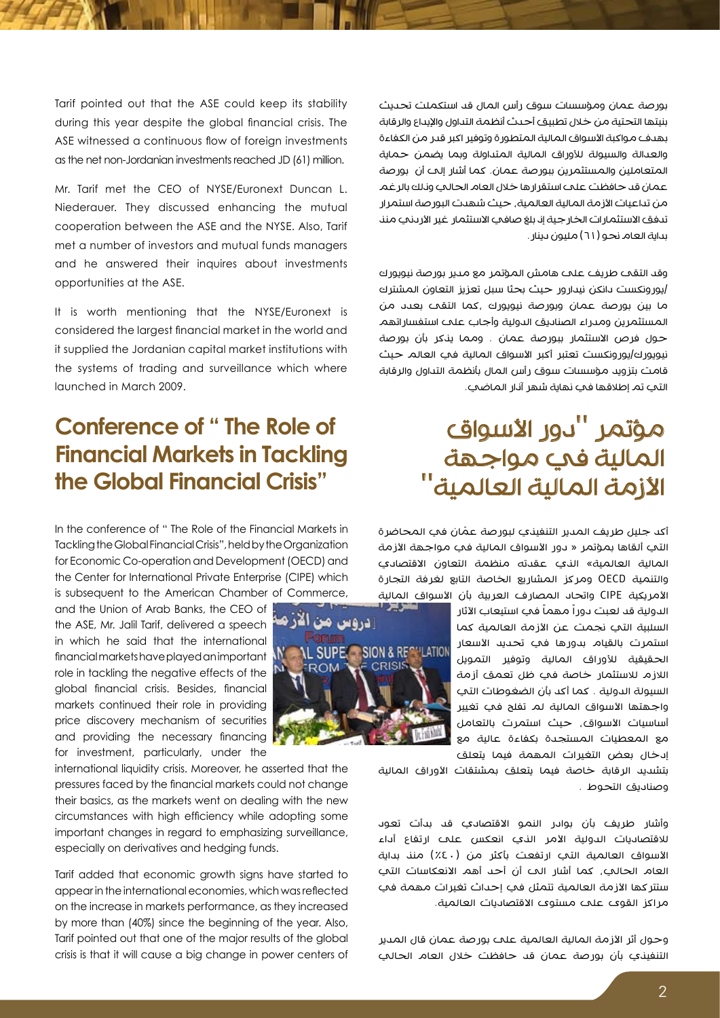بورصة عمان ومؤسسات سوق رأس المال قد استكملت تحديث بنيتها التحتية من خالل تطبيق أحدث أنظمة التداول واإليداع والرقابة بهدف مواكبة الأسواق المالية المتطورة وتوفير اكبر قدر من الكفاءة والعدالة والسيولة لألوراق المالية المتداولة وبما يضمن حماية المتعاملين والمستثمرين ببورصة عمان. كما أشار إلى أن بورصة عمان قد حافظت على استقرارها خالل العام الحالي وذلك بالرغم من تداعيات الأزمة المالية العالمية، حيث شهدت البورصة استمرار تدفق الاستثمارات الخارجية ان بلغ صافي الاستثمار غير الأردني منذ بداية العام نحو (٦١) مليون دينار .

وقد التقى طريف على هامش المؤتمر مع مدير بورصة نيويورك /يورونكست دانكن نيدارور حيث بحثا سبل تعزيز التعاون المشترك ما بين بورصة عمان وبورصة نيويورك ،كما التقى بعدد من المستثمرين ومدراء الصناديق الدولية وأجاب على استفساراتهم حول فرص االستثمار ببورصة عمان . ومما يذكر بأن بورصة نيويورك/يورونكست تعتبر أكبر الأسواق المالية في العالم حيث قامت بتزويد مؤسسات سوق رأس المال بأنظمة التداول والرقابة التي تم إطلاقها في نهاية شهر آنار الماضي.

## مؤتمر "دور الأسواق المالية في مواجهة الأزمة المالية العالمية

ّ أكد جليل طريف المدير التنفيذي لبورصة عمان في المحاضرة التي ألقاها بمؤتمر « دور الأسواق المالية في مواجهة الأزمة المالية العالمية« الذي عقدته منظمة التعاون االقتصادي والتنمية OECD ومركز المشاريع الخاصة التابع لغرفة التجارة الأمريكية CIPE واتحاد المصارف العربية بأن الأسواق المالية

> الدولية قد لعبت دوراً مهماً في استيعاب الآثار السلبية التي نجمت عن الأزمة العالمية كما استمرت بالقيام بدورها في تحديد األسعار الحقيقية لألوراق المالية وتوفير التمويل الالزم لالستثمار خاصة في ظل تعمق أزمة السيولة الدولية . كما أكد بأن الضغوطات التي واجهتها الأسواق المالية لم تفلح في تغيير أساسيات الأسواق، حيث استمرت بالتعامل مع المعطيات المستجدة بكفاءة عالية مع إدخال بعض التغيرات المهمة فيما يتعلق

بتشديد الرقابة خاصة فيما يتعلق بمشتقات األوراق المالية وصناديق التحوط .

وأشار طريف بأن بوادر النمو االقتصادي قد بدأت تعود للاقتصاديات الدولية الأمر الذي انعكس علم ارتفاع أداء الأسواق العالمية التي ارتفعت بأكثر من (٤٤٠) منذ بداية العام الحالي، كما أشار الب أن أحد أهم الانعكاسات التي ستتركها الأزمة العالمية تتمثل في إحداث تغيرات مهمة في مراكز القوى على مستوى االقتصاديات العالمية.

وحول أثر الأزمة المالية العالمية على بورصة عمان قال المدير التنفيذي بأن بورصة عمان قد حافظت خالل العام الحالي

Tarif pointed out that the ASE could keep its stability during this vear despite the alobal financial crisis. The ASE witnessed a continuous flow of foreign investments as the net non-Jordanian investments reached JD (61) million.

Mr. Tarif met the CEO of NYSE/Euronext Duncan L. Niederauer. They discussed enhancing the mutual cooperation between the ASE and the NYSE. Also, Tarif met a number of investors and mutual funds managers and he answered their inquires about investments opportunities at the ASE.

It is worth mentioning that the NYSE/Euronext is considered the largest financial market in the world and it supplied the Jordanian capital market institutions with the systems of trading and surveillance which where launched in March 2009.

### **Conference of " The Role of Financial Markets in Tackling the Global Financial Crisis"**

In the conference of " The Role of the Financial Markets in Tackling the Global Financial Crisis", held by the Organization for Economic Co-operation and Development (OECD) and the Center for International Private Enterprise (CIPE) which is subsequent to the American Chamber of Commerce.

and the Union of Arab Banks, the CEO of the ASE, Mr. Jalil Tarif, delivered a speech in which he said that the international financial markets have played an important role in tackling the negative effects of the global financial crisis. Besides, financial markets continued their role in providing price discovery mechanism of securities and providing the necessary financing for investment, particularly, under the

international liquidity crisis. Moreover, he asserted that the pressures faced by the financial markets could not change their basics, as the markets went on dealing with the new circumstances with high efficiency while adopting some important changes in regard to emphasizing surveillance, especially on derivatives and hedaina funds.

Tarif added that economic growth signs have started to appear in the international economies, which was reflected on the increase in markets performance, as they increased by more than (40%) since the beginning of the year. Also, Tarif pointed out that one of the major results of the global crisis is that it will cause a big change in power centers of

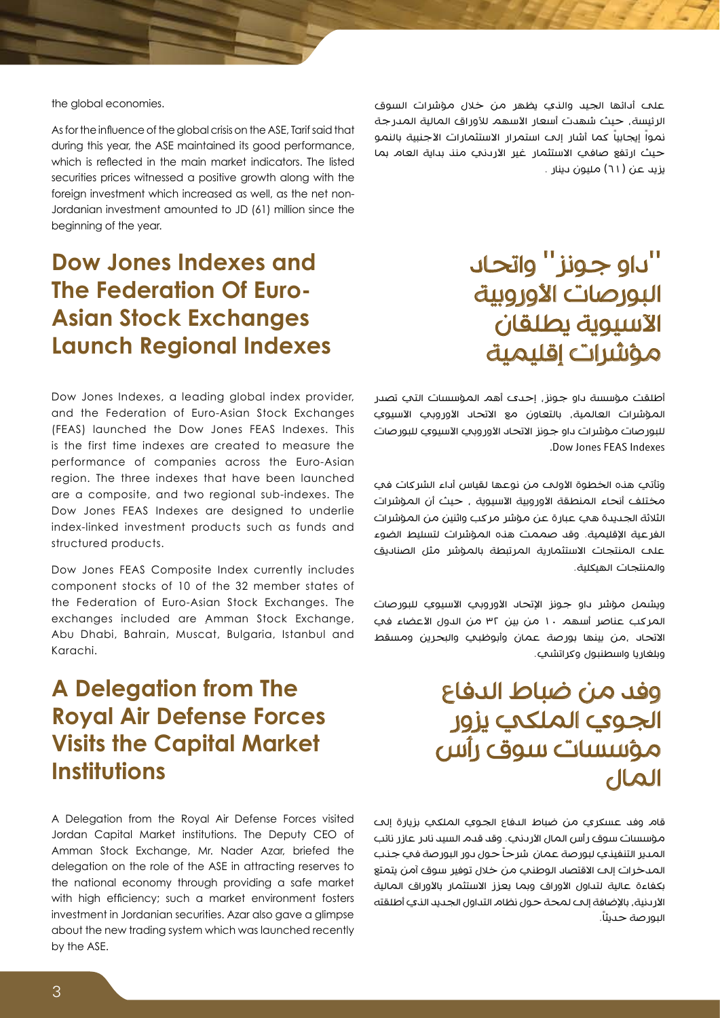على أدائها الجيد والذي يظهر من خالل مؤشرات السوق الرئيسة، حيث شهدت أسعار الأسهم للأوراق المالية المدرجة نمواً إيجابياً كما أشار إلى استمرار الاستثمارات الأجنبية بالنمو حيث ارتفع صافي الاستثمار غير الأردني منذ بداية العام بما يزيد عن (٦١) مليون دينار .

the global economies.

As for the influence of the global crisis on the ASE, Tarif said that during this year, the ASE maintained its good performance, which is reflected in the main market indicators. The listed securities prices witnessed a positive growth along with the Jordanian investment amounted to JD (61) million since the foreign investment which increased as well, as the net nonbeginning of the year.

### **Dow Jones Indexes and Asian Stock Exchanges The Federation Of Euro-Launch Regional Indexes**

Dow Jones Indexes, a leading global index provider, and the Federation of Euro-Asian Stock Exchanges (FEAS) launched the Dow Jones FEAS Indexes. This is the first time indexes are created to measure the performance of companies across the Euro-Asian region. The three indexes that have been launched are a composite, and two regional sub-indexes. The Dow Jones FEAS Indexes are designed to underlie index-linked investment products such as funds and structured products.

Dow Jones FEAS Composite Index currently includes component stocks of 10 of the 32 member states of the Federation of Euro-Asian Stock Exchanges. The exchanges included are Amman Stock Exchange, Abu Dhabi, Bahrain, Muscat, Bulgaria, Istanbul and .Karachi

#### **A Delegation from The Royal Air Defense Forces Visits the Capital Market Institutions**

A Delegation from the Royal Air Defense Forces visited Jordan Capital Market institutions. The Deputy CEO of Amman Stock Exchange, Mr. Nader Azar, briefed the delegation on the role of the ASE in attracting reserves to the national economy through providing a safe market with high efficiency; such a market environment fosters investment in Jordanian securities. Azar also gave a glimpse about the new trading system which was launched recently by the ASE.

# ''داو جونز'' واتحاد البورصات الأوروبية اآلسيوية يطلقان مؤشرات إقليمية

أطلقت مؤسسة داو جونز، إحدى أهم المؤسسات التي تصدر المؤشرات العالمية، بالتعاون مع الاتحاد الأوروبي الآسيوي للبورصات مؤشرات داو جونز الاتحاد الأوروبي الآسيوي للبورصات .Dow Jones FEAS Indexes

وتأتب هذه الخطوة الأولى من نوعها لقياس أداء الشركات في مختلف أنحاء المنطقة الأوروبية الآسيوية ، حيث أن المؤشرات الثالثة الجديدة هي عبارة عن مؤشر مركب واثنين من المؤشرات الفرعية الإقليمية. وقد صممت هذه المؤشرات لتسليط الضوء على المنتجات االستثمارية المرتبطة بالمؤشر مثل الصناديق والمنتجات الهيكلية.

ويشمل مؤشر داو جونز الإتحاد الأوروبي الآسيوي للبورصات المركب عناصر أسهم ١٠ من بين ٣٢ من الدول الأعضاء في االتحاد ،من بينها بورصة عمان وأبوظبي والبحرين ومسقط وبلغاريا واسطنبول وكراتشي.

## وفد من ضباط الدفاع الجوي الملكي يزور مؤسسات سوق رأس المال

قام وفد عسكري من ضباط الدفاع الجوي الملكي بزيارة إلى مؤسسات سوق رأس المال الأردني. وقد قدم السيد نادر عازر نائب المدير التنفيذي لبورصة عمان شرحاً حول دور البورصة في جذب المدخرات إلى الاقتصاد الوطني من خلال توفير سوق آمن يتمتع بكفاءة عالية لتداول الأوراق وبما يعزز الاستثمار بالأوراق المالية األردنية، باإلضافة إلى لمحة حول نظام التداول الجديد الذي أطلقته .ً البورصة حديثا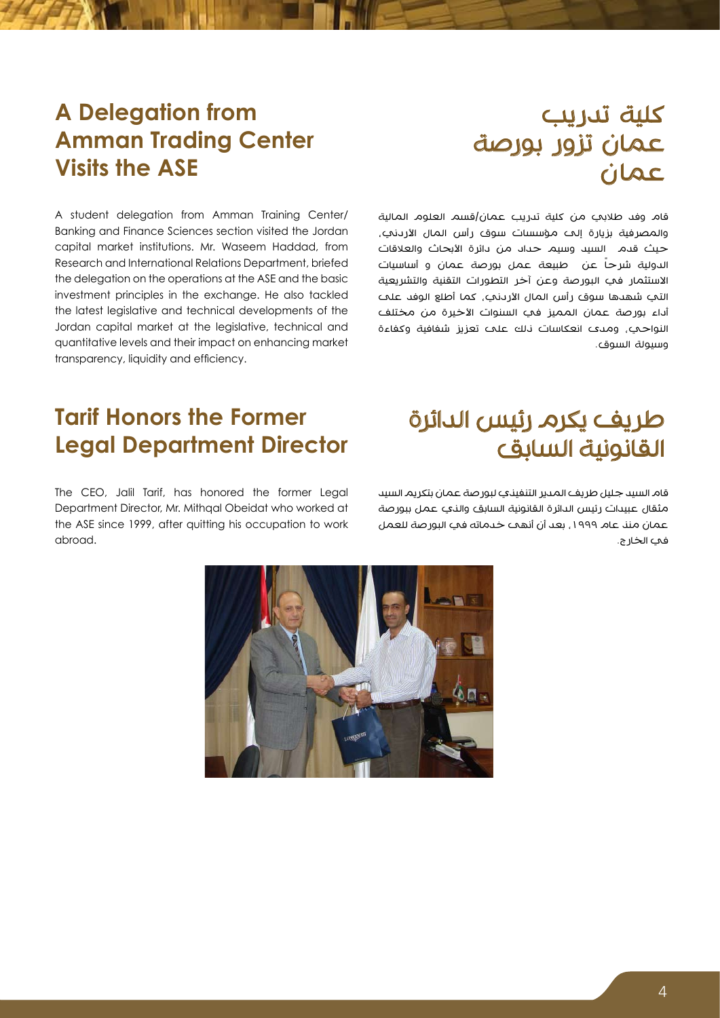## **A Delegation from Amman Trading Center Visits the ASE**

A student delegation from Amman Training Center/ Banking and Finance Sciences section visited the Jordan capital market institutions. Mr. Waseem Haddad, from Research and International Relations Department, briefed the delegation on the operations at the ASE and the basic investment principles in the exchange. He also tackled the latest legislative and technical developments of the Jordan capital market at the legislative, technical and auantitative levels and their impact on enhancing market transparency, liquidity and efficiency.

## كلية تدريب عمان تزور بورصة عمان

قام وفد طالبي من كلية تدريب عمان/قسم العلوم المالية والمصرفية بزيارة إلى مؤسسات سوق رأس المال األردني، حيث قدم السيد وسيم حداد من دائرة األبحاث والعالقات الدولية شرحاً عن طبيعة عمل بورصة عمان و أساسيات االستثمار في البورصة وعن آخر التطورات التقنية والتشريعية التي شهدها سوق رأس المال الأردني، كما أطلع الوفد على أداء بورصة عمان المميز في السنوات الأخيرة من مختلف النواحي، ومدى انعكاسات ذلك على تعزيز شفافية وكفاءة وسيولة السوق.

### **Tarif Honors the Former Legal Department Director**

The CEO, Jalil Tarif, has honored the former Leagl Department Director, Mr. Mithqal Obeidat who worked at the ASE since 1999, after quitting his occupation to work .abroad

## طريف يكرم رئيس الدائرة القانونية السابق

قام السيد جليل طريف المدير التنفيذي لبورصة عمان بتكريم السيد مثقال عبيدات رئيس الدائرة القانونية السابق والذي عمل ببورصة عمان منذ عام ١٩٩٩، بعد أن أنهت خدماته في البورصة للعمل في الخارج.

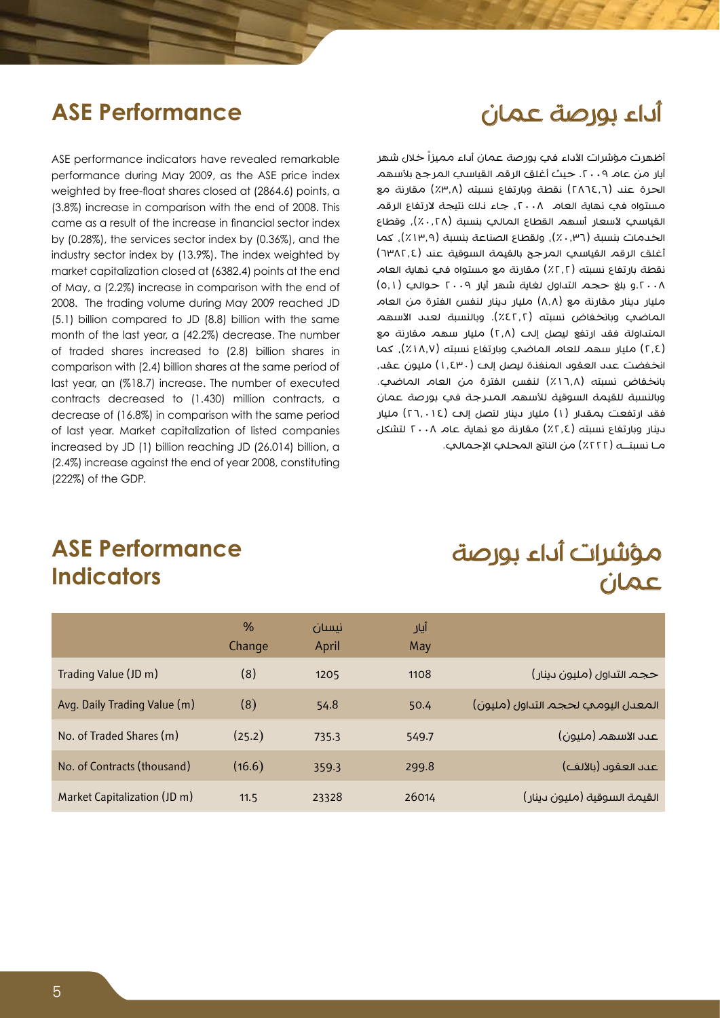## أداء بورصة عمان

#### **ASE Performance**

ASE performance indicators have revealed remarkable performance during May 2009, as the ASE price index weighted by free-float shares closed at (2864.6) points, a (3.8%) increase in comparison with the end of 2008. This came as a result of the increase in financial sector index by  $(0.28\%)$ , the services sector index by  $(0.36\%)$ , and the industry sector index by (13.9%). The index weighted by market capitalization closed at (6382.4) points at the end of May, a (2.2%) increase in comparison with the end of 2008. The trading volume during May 2009 reached JD  $(5.1)$  billion compared to JD  $(8.8)$  billion with the same month of the last year, a (42.2%) decrease. The number of traded shares increased to (2.8) billion shares in comparison with (2.4) billion shares at the same period of last year, an (%18.7) increase. The number of executed contracts decreased to (1.430) million contracts, a decrease of (16.8%) in comparison with the same period of last year. Market capitalization of listed companies increased by JD (1) billion reaching JD (26.014) billion, a (2.4%) increase against the end of year 2008, constituting  $(222\%)$  of the GDP.

أظهرت مؤشرات الأداء في بورصة عمان أداء مميزاً خلال شهر أيار من عام ٢٠٠٩. حيث أغلق الرقم القياسي المرجح بلأسهم الحرة عند (٢٨٦٤.٦) نقطة وبارتفاع نسبته (٣,٨٪) مقارنة مع مستواه في نهاية العام ٢٠٠٨، جاء ذلك نتيجة لارتفاع الرقم القياسي لأسعار أسهم القطاع المالب بنسبة (٢٨..٪), وقطاع الخدمات بنسبة (٣٦. ٪), ولقطاع الصناعة بنسبة (١٣.٩٪), كما أغلق الرقم القياسي المرجح بالقيمة السوقية عند (١٣٨٢.٢) نقطة بارتفاع نسبته (٢,٢٪) مقارنة مع مستواه في نهاية العام .2008و بلغ حجم التداول لغاية شهر أيار 2009 حوالي )5.1( مليار دينار مقارنة مع (٨,٨) مليار دينار لنفس الفترة من العام الماضي وبانخفاض نسبته (٤٤٢,٢). وبالنسبة لعدد الأسهم المتداولة فقد ارتفع ليصل إلى (٢٫٨) مليار سهم مقارنة مع )2.4( مليار سهم للعام الماضي وبارتفاع نسبته )%18.7(، كما انخفضت عدد العقود المنفذة ليصل إلى )1.430( مليون عقد، بانخفاض نسبته )%16.8( لنفس الفترة من العام الماضي. وبالنسبة للقيمة السوقية لألسهم المدرجة في بورصة عمان فقد ارتفعت بمقدار (١) مليار دينار لتصل إلى (٢٦.٠١٤) مليار دينار وبارتفاع نسبته (٢,٢٪) مقارنة مع نهاية عام ٢٠٠٨ لتشكل مـا نسبتــه (٢٢٢٢) من الناتج المحلب الاجمالي.

#### **ASE Performance Indicators**

## مؤشرات أداء بورصة عمان

|                              | %<br>Change | نىسان<br>April | أيار<br>May |                                     |
|------------------------------|-------------|----------------|-------------|-------------------------------------|
| Trading Value (JD m)         | (8)         | 1205           | 1108        | حجم التداول (مليون دينار)           |
| Avg. Daily Trading Value (m) | (8)         | 54.8           | 50.4        | المعدل اليوميى لحجم التداول (مليون) |
| No. of Traded Shares (m)     | (25.2)      | 735.3          | 549.7       | عدد الأسهم (مليون)                  |
| No. of Contracts (thousand)  | (16.6)      | 359.3          | 299.8       | عيد العقود (بالألف)                 |
| Market Capitalization (JD m) | 11.5        | 23328          | 26014       | القيمة السوقية (مليون دينار)        |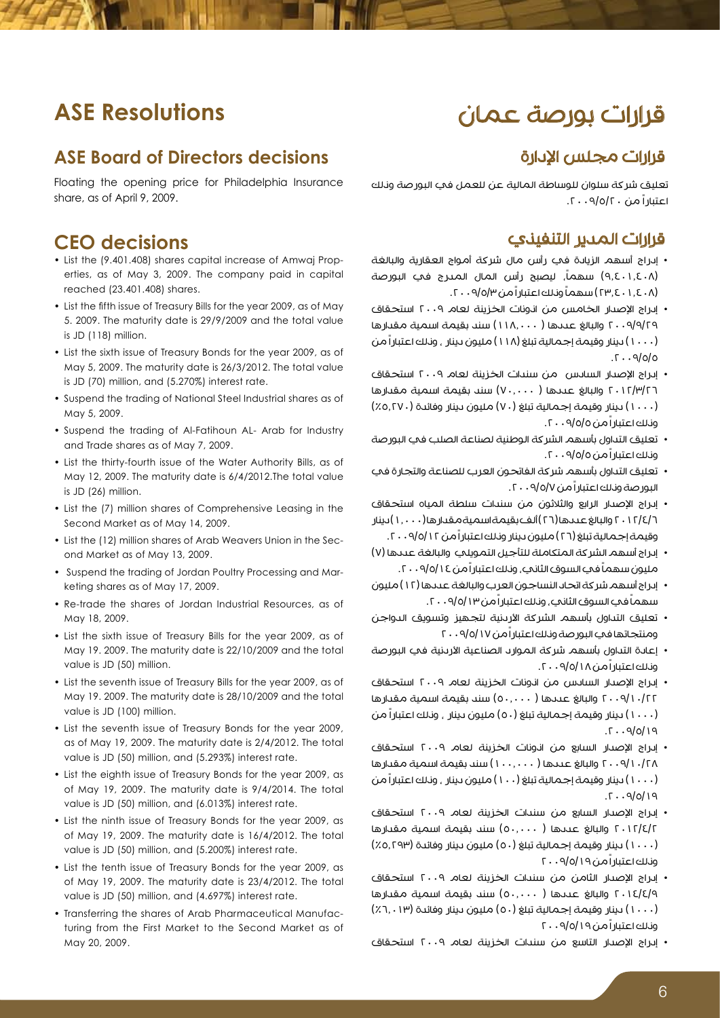## قرارات بورصة عمان

#### **ASE Resolutions**

#### **ASE Board of Directors decisions**

Floating the opening price for Philadelphia Insurance share, as of April 9, 2009.

#### **CEO** decisions

- erties, as of May 3, 2009. The company paid in capital • List the (9.401.408) shares capital increase of Amwaj Propreached (23.401.408) shares.
- List the fifth issue of Treasury Bills for the year 2009, as of May 5. 2009. The maturity date is 29/9/2009 and the total value is JD (118) million.
- List the sixth issue of Treasury Bonds for the year 2009, as of May 5, 2009. The maturity date is  $26/3/2012$ . The total value is JD  $(70)$  million, and  $(5.270\%)$  interest rate.
- Suspend the trading of National Steel Industrial shares as of May 5, 2009.
- Suspend the trading of Al-Fatihoun AL- Arab for Industry and Trade shares as of May 7, 2009.
- List the thirty-fourth issue of the Water Authority Bills, as of May 12, 2009. The maturity date is 6/4/2012. The total value is JD (26) million.
- List the (7) million shares of Comprehensive Leasing in the Second Market as of May 14, 2009.
- List the (12) million shares of Arab Weavers Union in the Secord Market as of May 13, 2009.
- Suspend the trading of Jordan Poultry Processing and Marketing shares as of May 17, 2009.
- Re-trade the shares of Jordan Industrial Resources, as of May 18, 2009.
- List the sixth issue of Treasury Bills for the year 2009, as of May 19. 2009. The maturity date is 22/10/2009 and the total value is JD (50) million.
- List the seventh issue of Treasury Bills for the year 2009, as of May 19, 2009. The maturity date is  $28/10/2009$  and the total value is JD (100) million.
- List the seventh issue of Treasury Bonds for the year 2009, as of May 19, 2009. The maturity date is  $2/4/2012$ . The total value is JD (50) million, and (5.293%) interest rate.
- List the eighth issue of Treasury Bonds for the year 2009, as of May 19, 2009. The maturity date is  $9/4/2014$ . The total value is JD (50) million, and (6.013%) interest rate.
- List the ninth issue of Treasury Bonds for the year 2009, as of May 19, 2009. The maturity date is 16/4/2012. The total value is JD (50) million, and (5.200%) interest rate.
- List the tenth issue of Treasury Bonds for the year 2009, as of May 19, 2009. The maturity date is  $23/4/2012$ . The total value is JD (50) million, and (4.697%) interest rate.
- turing from the First Market to the Second Market as of • Transferring the shares of Arab Pharmaceutical Manufac-May 20, 2009.

#### قرارات مجلس اإلدارة

تعليق شركة سلوان للوساطة المالية عن للعمل في البورصة وذلك اعتباراً من .2009/5/20

#### قرارات المدير التنفيذي

- إدراج أسهم الزيادة في رأس مال شركة أمواج العقارية والبالغة (٩,٤٠١,٤٠٨) سهماً، ليصبح رأس المال المدرج في البورصة (٢٣,٤٠١,٤٠٨) سهماً وناك اعتباراً من ٩/٥/٣ ٢٠٠٩.
- إدراج اإلصدار الخامس من اذونات الخزينة لعام 2009 استحقاق 2009/9/29 والبالغ عددها ) 118.000( سند بقيمة اسمية مقدارها )1000( دينار وقيمة إجمالية تبلغ )118( مليون دينار ، وذلك اعتباراً من  $.5.9/0$
- إدراج اإلصدار السادس من سندات الخزينة لعام 2009 استحقاق 2012/3/26 والبالغ عددها ) 70.000( سند بقيمة اسمية مقدارها )1000( دينار وقيمة إجمالية تبلغ )70( مليون دينار وفائدة )%5.270( وذلك اعتبار آ من ٩/٥/٥ ٢٠٠٩.
- تعليق التداول بأسهم الشركة الوطنية لصناعة الصلب في البورصة وذلك اعتباراً من .2009/5/5
- تعليق التداول بأسهم شركة الفاتحون العرب للصناعة والتجارة في البورصة وذلك اعتباراً من .2009/5/7
- إدراج اإلصدار الرابع والثالثون من سندات سلطة المياه استحقاق 1/2/7 \ 1.00 والبالغ عددها (٢٦) ألف بقيمة اسمية مقدارها (١,٠٠٠) دينار وقيمة إجمالية تبلغ (٢٦) مليون دينار ونلك اعتبار آمن ١٢/٥/١٢ . ٢٠
- إدراج أسهم الشركة المتكاملة للتأجيل التمويلي والبالغة عددها )7( مليون سهماً في السوق الثانبي، ونلك اعتبار اً من ١٤/٥/١٤ . ٢٠٠
- إدراج أسهم شركة اتحاد النساجون العرب والبالغة عددها )12( مليون سهماً في السوق الثاني، ونلك اعتبار اً من ١٣ /٩/٥ . ٢٠٠.
- تعليق التداول بأسهم الشركة األردنية لتجهيز وتسويق الدواجن ومنتجاتها في البورصة وذلك اعتباراً من 2009/5/17
- إعادة التداول بأسهم شركة الموارد الصناعية الأردنية في البورصة ونلك اعتبار آمن ١٨ /٥/٥ ٢٠٠٩
- إدراج اإلصدار السادس من اذونات الخزينة لعام 2009 استحقاق 2009/10/22 والبالغ عددها ) 50.000( سند بقيمة اسمية مقدارها )1000( دينار وقيمة إجمالية تبلغ )50( مليون دينار ، وذلك اعتباراً من  $.7.9/0/19$
- إدراج الإصدار السابع من انونات الخزينة لعام ٢٠٠٩ استحقاق 2009/10/28 والبالغ عددها ) 100.000( سند بقيمة اسمية مقدارها )1000( دينار وقيمة إجمالية تبلغ )100( مليون دينار ، وذلك اعتباراً من  $.7.9/0/19$
- إدراج اإلصدار السابع من سندات الخزينة لعام 2009 استحقاق 2012/4/2 والبالغ عددها ) 50.000( سند بقيمة اسمية مقدارها )1000( دينار وقيمة إجمالية تبلغ )50( مليون دينار وفائدة )%5.293( وذلك اعتباراً من 2009/5/19
- إدراج اإلصدار الثامن من سندات الخزينة لعام 2009 استحقاق 2014/4/9 والبالغ عددها ) 50.000( سند بقيمة اسمية مقدارها )1000( دينار وقيمة إجمالية تبلغ )50( مليون دينار وفائدة )%6.013( وذلك اعتباراً من 2009/5/19
- إدراج اإلصدار التاسع من سندات الخزينة لعام 2009 استحقاق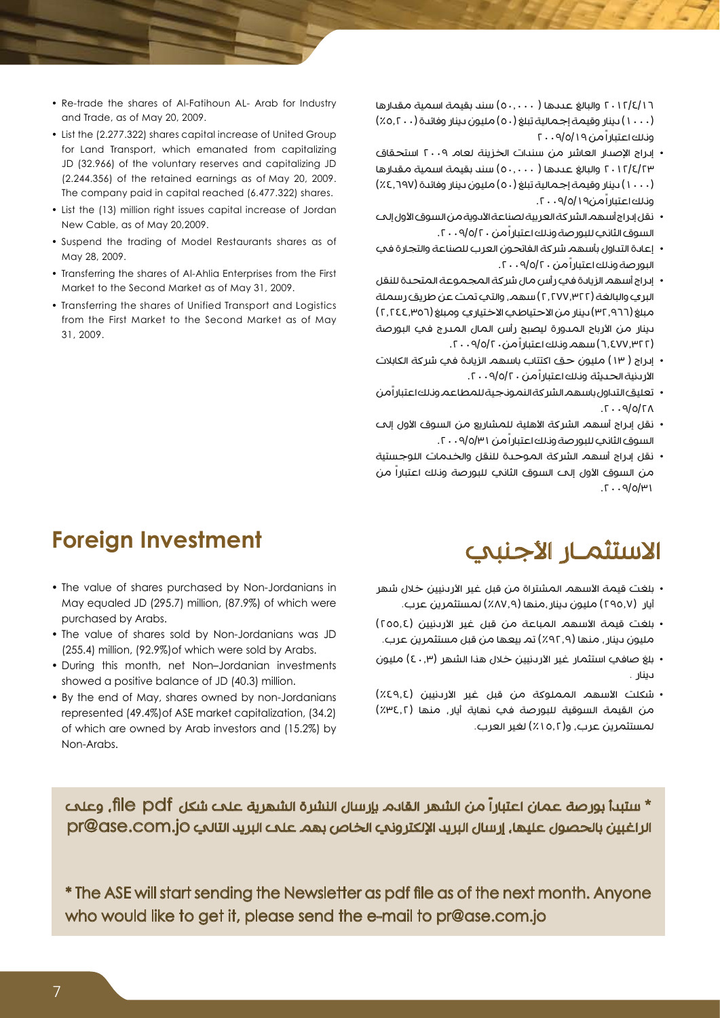- إدراج اإلصدار العاشر من سندات الخزينة لعام 2009 استحقاق 2012/4/23 والبالغ عددها ) 50.000( سند بقيمة اسمية مقدارها )1000( دينار وقيمة إجمالية تبلغ )50( مليون دينار وفائدة )%4.697( وذلك اعتباراً من.2009/5/19
- نقل إدراج أسهم الشركة العربية لصناعة األدوية من السوق األول إلى السوق الثاني للبورصة وذلك اعتباراً من .2009/5/20
- إعادة التداول بأسهم شركة الفاتحون العرب للصناعة والتجارة في البورصة وذلك اعتباراً من .2009/5/20
- إدراج أسهم الزيادة في رأس مال شركة المجموعة المتحدة للنقل البري والبالغة )2.277.322( سهم، والتي تمت عن طريق رسملة مبلغ (٣٢,٩٦٦) دينار من الاحتياطي الاختياري ومبلغ (٢,٢٤٤,٣٥٦) دينار من الأرباح المدورة ليصبح رأس المال المدرج في البورصة )6.477.322( سهم وذلك اعتباراً من.2009/5/20
- إدراج ) 13( مليون حق اكتتاب باسهم الزيادة في شركة الكابالت األردنية الحديثة وذلك اعتباراً من .2009/5/20
- تعليق التداول باسهم الشركة النموذجية للمطاعم وذلك اعتباراً من  $I.29/0/7A$
- نقل إدراج أسهم الشركة الأهلية للمشاريع من السوق الأول إلى السوق الثاني للبور صة وذلك اعتبار آ من ٣١/٥/٣١ . ٢٠٠
- نقل إدراج أسهم الشركة الموحدة للنقل والخدمات اللوجستية من السوق الأول إلى السوق الثاني للبورصة ونلك اعتباراً من  $1400 - 7.7$
- Re-trade the shares of Al-Fatihoun AL- Arab for Industry and Trade, as of May 20, 2009.
- List the (2.277.322) shares capital increase of United Group for Land Transport, which emanated from capitalizing JD (32.966) of the voluntary reserves and capitalizing JD  $(2.244.356)$  of the retained earnings as of May 20, 2009. The company paid in capital reached (6.477.322) shares.
- List the (13) million right issues capital increase of Jordan New Cable, as of May 20,2009.
- Suspend the trading of Model Restaurants shares as of May 28, 2009.
- Transferring the shares of Al-Ahlia Enterprises from the First Market to the Second Market as of May 31, 2009.
- Transferring the shares of Unified Transport and Logistics from the First Market to the Second Market as of May 2009. 31,

#### **Foreign Investment**

- The value of shares purchased by Non-Jordanians in May equaled JD (295.7) million, (87.9%) of which were purchased by Arabs.
- The value of shares sold by Non-Jordanians was JD (255.4) million, (92.9%) of which were sold by Arabs.
- During this month, net Non-Jordanian investments showed a positive balance of JD (40.3) million.
- By the end of May, shares owned by non-Jordanians represented (49.4%) of ASE market capitalization, (34.2) of which are owned by Arab investors and (15.2%) by Non-Arabs.

# الاستثمـار الأجنبي

- بلغت قيمة الأسهم المشتراة من قبل غير الأردنيين خلال شهر أيار (٢٩٥,٧) مليون دينار ,منها (٨٧,٩) لمستثمرين عرب.
- بلغت قيمة الأسهم المباعة من قبل غير الأردنيين (٢٥٥,٤) مليون دينار، منها )%92.9( تم بيعها من قبل مستثمرين عرب.
- بلغ صافي استثمار غير األردنيين خالل هذا الشهر )40.3( مليون دينار .
- شكلت الأسهم المملوكة من قبل غير الأردنيين (٤٩,٤٪) من القيمة السوقية للبورصة في نهاية أيار، منها (٣٤,٢٪) لمستثمرين عرب، و)%15.2( لغير العرب.

\* ستبدأ بورصة عمان اعتباراً من الشهر القادم بإرسال النشرة الشهرية على شكل pdf file، وعلى الراغبين بالحصول عليها، إرسال البريد اإللكتروني الخاص بهم على البريد التالي jo.com.ase@pr

\* The ASE will start sending the Newsletter as pdf file as of the next month. Anyone who would like to get it, please send the e-mail to pr@ase.com.jo